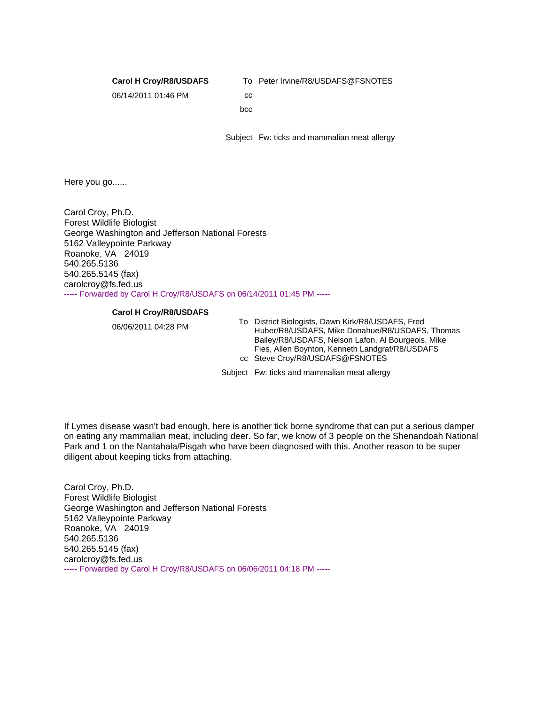**Carol H Croy/R8/USDAFS**

To Peter Irvine/R8/USDAFS@FSNOTES

06/14/2011 01:46 PM

cc bcc

Subject Fw: ticks and mammalian meat allergy

Here you go......

Carol Croy, Ph.D. Forest Wildlife Biologist George Washington and Jefferson National Forests 5162 Valleypointe Parkway Roanoke, VA 24019 540.265.5136 540.265.5145 (fax) carolcroy@fs.fed.us ----- Forwarded by Carol H Croy/R8/USDAFS on 06/14/2011 01:45 PM -----

## **Carol H Croy/R8/USDAFS**

06/06/2011 04:28 PM To District Biologists, Dawn Kirk/R8/USDAFS, Fred Huber/R8/USDAFS, Mike Donahue/R8/USDAFS, Thomas Bailey/R8/USDAFS, Nelson Lafon, Al Bourgeois, Mike Fies, Allen Boynton, Kenneth Landgraf/R8/USDAFS cc Steve Croy/R8/USDAFS@FSNOTES

Subject Fw: ticks and mammalian meat allergy

If Lymes disease wasn't bad enough, here is another tick borne syndrome that can put a serious damper on eating any mammalian meat, including deer. So far, we know of 3 people on the Shenandoah National Park and 1 on the Nantahala/Pisgah who have been diagnosed with this. Another reason to be super diligent about keeping ticks from attaching.

Carol Croy, Ph.D. Forest Wildlife Biologist George Washington and Jefferson National Forests 5162 Valleypointe Parkway Roanoke, VA 24019 540.265.5136 540.265.5145 (fax) carolcroy@fs.fed.us ----- Forwarded by Carol H Croy/R8/USDAFS on 06/06/2011 04:18 PM -----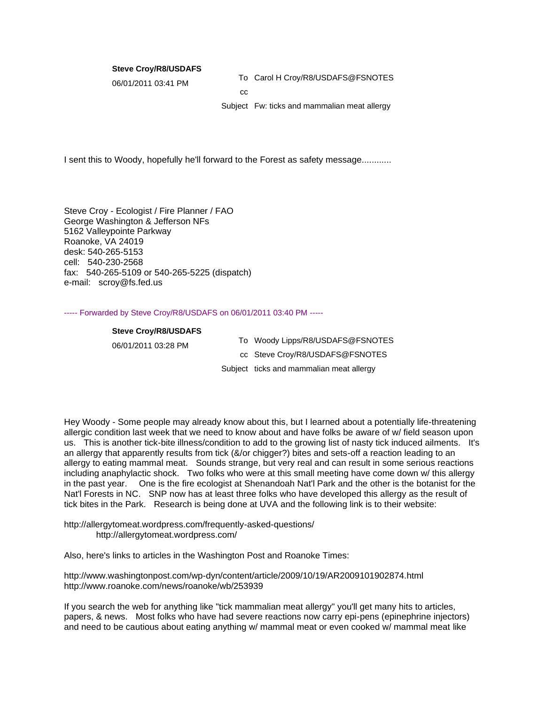## **Steve Croy/R8/USDAFS**

06/01/2011 03:41 PM To Carol H Croy/R8/USDAFS@FSNOTES cc

Subject Fw: ticks and mammalian meat allergy

I sent this to Woody, hopefully he'll forward to the Forest as safety message............

Steve Croy - Ecologist / Fire Planner / FAO George Washington & Jefferson NFs 5162 Valleypointe Parkway Roanoke, VA 24019 desk: 540-265-5153 cell: 540-230-2568 fax: 540-265-5109 or 540-265-5225 (dispatch) e-mail: scroy@fs.fed.us

----- Forwarded by Steve Croy/R8/USDAFS on 06/01/2011 03:40 PM -----

## **Steve Croy/R8/USDAFS**

06/01/2011 03:28 PM To Woody Lipps/R8/USDAFS@FSNOTES cc Steve Croy/R8/USDAFS@FSNOTES Subject ticks and mammalian meat allergy

Hey Woody - Some people may already know about this, but I learned about a potentially life-threatening allergic condition last week that we need to know about and have folks be aware of w/ field season upon us. This is another tick-bite illness/condition to add to the growing list of nasty tick induced ailments. It's an allergy that apparently results from tick (&/or chigger?) bites and sets-off a reaction leading to an allergy to eating mammal meat. Sounds strange, but very real and can result in some serious reactions including anaphylactic shock. Two folks who were at this small meeting have come down w/ this allergy in the past year. One is the fire ecologist at Shenandoah Nat'l Park and the other is the botanist for the Nat'l Forests in NC. SNP now has at least three folks who have developed this allergy as the result of tick bites in the Park. Research is being done at UVA and the following link is to their website:

http://allergytomeat.wordpress.com/frequently-asked-questions/ http://allergytomeat.wordpress.com/

Also, here's links to articles in the Washington Post and Roanoke Times:

http://www.washingtonpost.com/wp-dyn/content/article/2009/10/19/AR2009101902874.html http://www.roanoke.com/news/roanoke/wb/253939

If you search the web for anything like "tick mammalian meat allergy" you'll get many hits to articles, papers, & news. Most folks who have had severe reactions now carry epi-pens (epinephrine injectors) and need to be cautious about eating anything w/ mammal meat or even cooked w/ mammal meat like